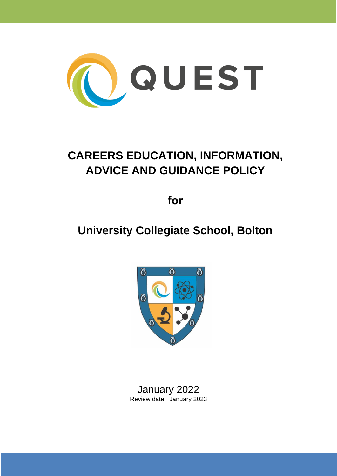

# **CAREERS EDUCATION, INFORMATION, ADVICE AND GUIDANCE POLICY**

**for**

# **University Collegiate School, Bolton**



January 2022 Review date: January 2023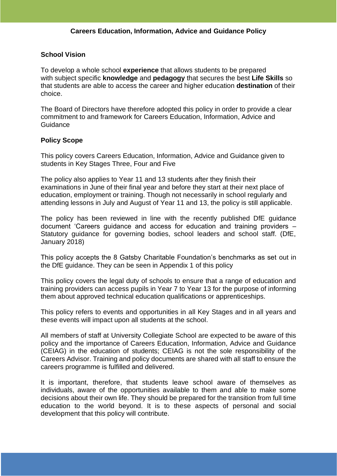# **School Vision**

To develop a whole school **experience** that allows students to be prepared with subject specific **knowledge** and **pedagogy** that secures the best **Life Skills** so that students are able to access the career and higher education **destination** of their choice.

The Board of Directors have therefore adopted this policy in order to provide a clear commitment to and framework for Careers Education, Information, Advice and Guidance

## **Policy Scope**

This policy covers Careers Education, Information, Advice and Guidance given to students in Key Stages Three, Four and Five

The policy also applies to Year 11 and 13 students after they finish their examinations in June of their final year and before they start at their next place of education, employment or training. Though not necessarily in school regularly and attending lessons in July and August of Year 11 and 13, the policy is still applicable.

The policy has been reviewed in line with the recently published DfE guidance document 'Careers guidance and access for education and training providers – Statutory guidance for governing bodies, school leaders and school staff. (DfE, January 2018)

This policy accepts the 8 Gatsby Charitable Foundation's benchmarks as set out in the DfE guidance. They can be seen in Appendix 1 of this policy

This policy covers the legal duty of schools to ensure that a range of education and training providers can access pupils in Year 7 to Year 13 for the purpose of informing them about approved technical education qualifications or apprenticeships.

This policy refers to events and opportunities in all Key Stages and in all years and these events will impact upon all students at the school.

All members of staff at University Collegiate School are expected to be aware of this policy and the importance of Careers Education, Information, Advice and Guidance (CEIAG) in the education of students; CEIAG is not the sole responsibility of the Careers Advisor. Training and policy documents are shared with all staff to ensure the careers programme is fulfilled and delivered.

It is important, therefore, that students leave school aware of themselves as individuals, aware of the opportunities available to them and able to make some decisions about their own life. They should be prepared for the transition from full time education to the world beyond. It is to these aspects of personal and social development that this policy will contribute.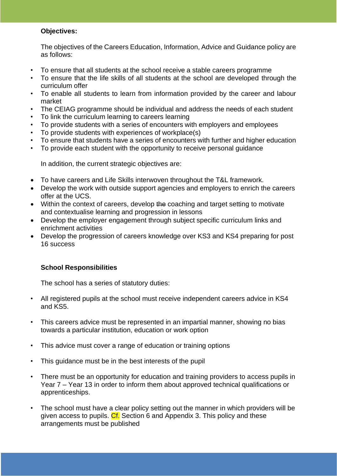# **Objectives:**

The objectives of the Careers Education, Information, Advice and Guidance policy are as follows:

- To ensure that all students at the school receive a stable careers programme
- To ensure that the life skills of all students at the school are developed through the curriculum offer
- To enable all students to learn from information provided by the career and labour market
- The CEIAG programme should be individual and address the needs of each student
- To link the curriculum learning to careers learning
- To provide students with a series of encounters with employers and employees
- To provide students with experiences of workplace(s)
- To ensure that students have a series of encounters with further and higher education
- To provide each student with the opportunity to receive personal guidance

In addition, the current strategic objectives are:

- To have careers and Life Skills interwoven throughout the T&L framework.
- Develop the work with outside support agencies and employers to enrich the careers offer at the UCS.
- Within the context of careers, develop the coaching and target setting to motivate and contextualise learning and progression in lessons
- Develop the employer engagement through subject specific curriculum links and enrichment activities
- Develop the progression of careers knowledge over KS3 and KS4 preparing for post 16 success

# **School Responsibilities**

The school has a series of statutory duties:

- All registered pupils at the school must receive independent careers advice in KS4 and KS5.
- This careers advice must be represented in an impartial manner, showing no bias towards a particular institution, education or work option
- This advice must cover a range of education or training options
- This guidance must be in the best interests of the pupil
- There must be an opportunity for education and training providers to access pupils in Year 7 – Year 13 in order to inform them about approved technical qualifications or apprenticeships.
- The school must have a clear policy setting out the manner in which providers will be given access to pupils. Cf. Section 6 and Appendix 3. This policy and these arrangements must be published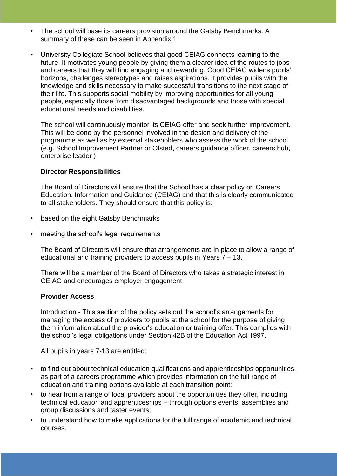- The school will base its careers provision around the Gatsby Benchmarks. A summary of these can be seen in Appendix 1
- University Collegiate School believes that good CEIAG connects learning to the future. It motivates young people by giving them a clearer idea of the routes to jobs and careers that they will find engaging and rewarding. Good CEIAG widens pupils' horizons, challenges stereotypes and raises aspirations. It provides pupils with the knowledge and skills necessary to make successful transitions to the next stage of their life. This supports social mobility by improving opportunities for all young people, especially those from disadvantaged backgrounds and those with special educational needs and disabilities.

The school will continuously monitor its CEIAG offer and seek further improvement. This will be done by the personnel involved in the design and delivery of the programme as well as by external stakeholders who assess the work of the school (e.g. School Improvement Partner or Ofsted, careers guidance officer, careers hub, enterprise leader )

## **Director Responsibilities**

The Board of Directors will ensure that the School has a clear policy on Careers Education, Information and Guidance (CEIAG) and that this is clearly communicated to all stakeholders. They should ensure that this policy is:

- based on the eight Gatsby Benchmarks
- meeting the school's legal requirements

The Board of Directors will ensure that arrangements are in place to allow a range of educational and training providers to access pupils in Years 7 – 13.

There will be a member of the Board of Directors who takes a strategic interest in CEIAG and encourages employer engagement

### **Provider Access**

Introduction - This section of the policy sets out the school's arrangements for managing the access of providers to pupils at the school for the purpose of giving them information about the provider's education or training offer. This complies with the school's legal obligations under Section 42B of the Education Act 1997.

All pupils in years 7-13 are entitled:

- to find out about technical education qualifications and apprenticeships opportunities, as part of a careers programme which provides information on the full range of education and training options available at each transition point;
- to hear from a range of local providers about the opportunities they offer, including technical education and apprenticeships – through options events, assemblies and group discussions and taster events;
- to understand how to make applications for the full range of academic and technical courses.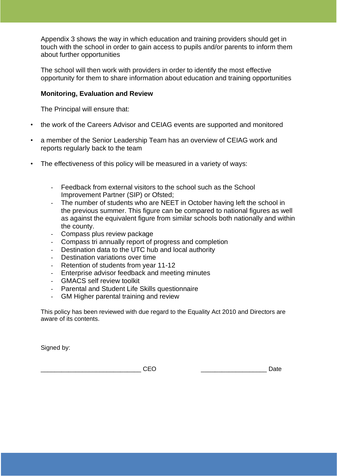Appendix 3 shows the way in which education and training providers should get in touch with the school in order to gain access to pupils and/or parents to inform them about further opportunities

The school will then work with providers in order to identify the most effective opportunity for them to share information about education and training opportunities

# **Monitoring, Evaluation and Review**

The Principal will ensure that:

- the work of the Careers Advisor and CEIAG events are supported and monitored
- a member of the Senior Leadership Team has an overview of CEIAG work and reports regularly back to the team
- The effectiveness of this policy will be measured in a variety of ways:
	- Feedback from external visitors to the school such as the School Improvement Partner (SIP) or Ofsted;
	- The number of students who are NEET in October having left the school in the previous summer. This figure can be compared to national figures as well as against the equivalent figure from similar schools both nationally and within the county.
	- Compass plus review package
	- Compass tri annually report of progress and completion
	- Destination data to the UTC hub and local authority
	- Destination variations over time
	- Retention of students from year 11-12
	- Enterprise advisor feedback and meeting minutes
	- GMACS self review toolkit
	- Parental and Student Life Skills questionnaire
	- GM Higher parental training and review

This policy has been reviewed with due regard to the Equality Act 2010 and Directors are aware of its contents.

Signed by:

\_\_\_\_\_\_\_\_\_\_\_\_\_\_\_\_\_\_\_\_\_\_\_\_\_\_\_\_\_ CEO \_\_\_\_\_\_\_\_\_\_\_\_\_\_\_\_\_\_\_ Date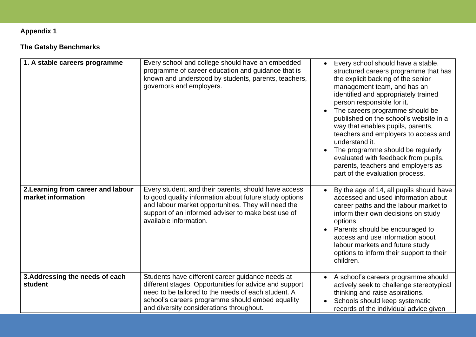# **Appendix 1**

# **The Gatsby Benchmarks**

| 1. A stable careers programme                            | Every school and college should have an embedded<br>programme of career education and guidance that is<br>known and understood by students, parents, teachers,<br>governors and employers.                                                                        | Every school should have a stable,<br>$\bullet$<br>structured careers programme that has<br>the explicit backing of the senior<br>management team, and has an<br>identified and appropriately trained<br>person responsible for it.<br>The careers programme should be<br>$\bullet$<br>published on the school's website in a<br>way that enables pupils, parents,<br>teachers and employers to access and<br>understand it.<br>The programme should be regularly<br>$\bullet$<br>evaluated with feedback from pupils,<br>parents, teachers and employers as<br>part of the evaluation process. |
|----------------------------------------------------------|-------------------------------------------------------------------------------------------------------------------------------------------------------------------------------------------------------------------------------------------------------------------|-------------------------------------------------------------------------------------------------------------------------------------------------------------------------------------------------------------------------------------------------------------------------------------------------------------------------------------------------------------------------------------------------------------------------------------------------------------------------------------------------------------------------------------------------------------------------------------------------|
| 2. Learning from career and labour<br>market information | Every student, and their parents, should have access<br>to good quality information about future study options<br>and labour market opportunities. They will need the<br>support of an informed adviser to make best use of<br>available information.             | By the age of 14, all pupils should have<br>$\bullet$<br>accessed and used information about<br>career paths and the labour market to<br>inform their own decisions on study<br>options.<br>Parents should be encouraged to<br>$\bullet$<br>access and use information about<br>labour markets and future study<br>options to inform their support to their<br>children.                                                                                                                                                                                                                        |
| 3. Addressing the needs of each<br>student               | Students have different career guidance needs at<br>different stages. Opportunities for advice and support<br>need to be tailored to the needs of each student. A<br>school's careers programme should embed equality<br>and diversity considerations throughout. | A school's careers programme should<br>$\bullet$<br>actively seek to challenge stereotypical<br>thinking and raise aspirations.<br>Schools should keep systematic<br>records of the individual advice given                                                                                                                                                                                                                                                                                                                                                                                     |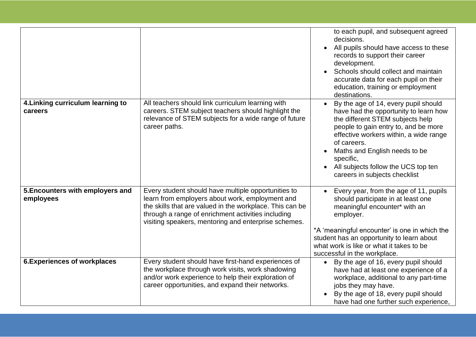|                                               |                                                                                                                                                                                                                                                                                  | to each pupil, and subsequent agreed<br>decisions.<br>All pupils should have access to these<br>records to support their career<br>development.<br>Schools should collect and maintain<br>accurate data for each pupil on their<br>education, training or employment<br>destinations.                                                                                           |
|-----------------------------------------------|----------------------------------------------------------------------------------------------------------------------------------------------------------------------------------------------------------------------------------------------------------------------------------|---------------------------------------------------------------------------------------------------------------------------------------------------------------------------------------------------------------------------------------------------------------------------------------------------------------------------------------------------------------------------------|
| 4. Linking curriculum learning to<br>careers  | All teachers should link curriculum learning with<br>careers. STEM subject teachers should highlight the<br>relevance of STEM subjects for a wide range of future<br>career paths.                                                                                               | By the age of 14, every pupil should<br>$\bullet$<br>have had the opportunity to learn how<br>the different STEM subjects help<br>people to gain entry to, and be more<br>effective workers within, a wide range<br>of careers.<br>Maths and English needs to be<br>$\bullet$<br>specific,<br>All subjects follow the UCS top ten<br>$\bullet$<br>careers in subjects checklist |
| 5. Encounters with employers and<br>employees | Every student should have multiple opportunities to<br>learn from employers about work, employment and<br>the skills that are valued in the workplace. This can be<br>through a range of enrichment activities including<br>visiting speakers, mentoring and enterprise schemes. | Every year, from the age of 11, pupils<br>should participate in at least one<br>meaningful encounter* with an<br>employer.<br>*A 'meaningful encounter' is one in which the<br>student has an opportunity to learn about<br>what work is like or what it takes to be<br>successful in the workplace.                                                                            |
| <b>6. Experiences of workplaces</b>           | Every student should have first-hand experiences of<br>the workplace through work visits, work shadowing<br>and/or work experience to help their exploration of<br>career opportunities, and expand their networks.                                                              | By the age of 16, every pupil should<br>$\bullet$<br>have had at least one experience of a<br>workplace, additional to any part-time<br>jobs they may have.<br>By the age of 18, every pupil should<br>have had one further such experience,                                                                                                                                    |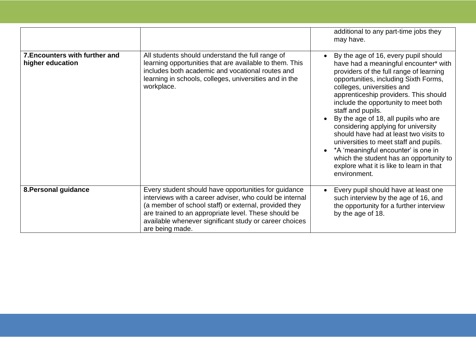|                                                    |                                                                                                                                                                                                                                                                                                               | additional to any part-time jobs they<br>may have.                                                                                                                                                                                                                                                                                                                                                                                                                                                                                                                                                                                  |
|----------------------------------------------------|---------------------------------------------------------------------------------------------------------------------------------------------------------------------------------------------------------------------------------------------------------------------------------------------------------------|-------------------------------------------------------------------------------------------------------------------------------------------------------------------------------------------------------------------------------------------------------------------------------------------------------------------------------------------------------------------------------------------------------------------------------------------------------------------------------------------------------------------------------------------------------------------------------------------------------------------------------------|
| 7. Encounters with further and<br>higher education | All students should understand the full range of<br>learning opportunities that are available to them. This<br>includes both academic and vocational routes and<br>learning in schools, colleges, universities and in the<br>workplace.                                                                       | By the age of 16, every pupil should<br>$\bullet$<br>have had a meaningful encounter* with<br>providers of the full range of learning<br>opportunities, including Sixth Forms,<br>colleges, universities and<br>apprenticeship providers. This should<br>include the opportunity to meet both<br>staff and pupils.<br>By the age of 18, all pupils who are<br>considering applying for university<br>should have had at least two visits to<br>universities to meet staff and pupils.<br>*A 'meaningful encounter' is one in<br>which the student has an opportunity to<br>explore what it is like to learn in that<br>environment. |
| 8. Personal guidance                               | Every student should have opportunities for guidance<br>interviews with a career adviser, who could be internal<br>(a member of school staff) or external, provided they<br>are trained to an appropriate level. These should be<br>available whenever significant study or career choices<br>are being made. | Every pupil should have at least one<br>$\bullet$<br>such interview by the age of 16, and<br>the opportunity for a further interview<br>by the age of 18.                                                                                                                                                                                                                                                                                                                                                                                                                                                                           |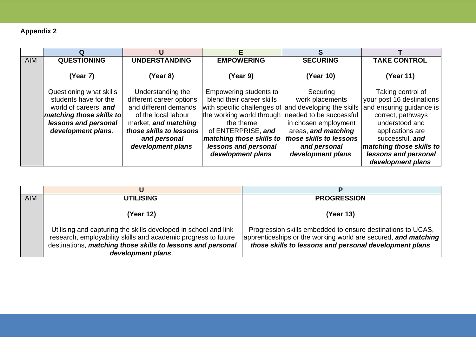# **Appendix 2**

| <b>AIM</b> | <b>QUESTIONING</b>       | <b>UNDERSTANDING</b>     | <b>EMPOWERING</b>                                     | <b>SECURING</b>         | <b>TAKE CONTROL</b>       |
|------------|--------------------------|--------------------------|-------------------------------------------------------|-------------------------|---------------------------|
|            |                          |                          |                                                       |                         |                           |
|            | (Year 7)                 | (Year 8)                 | (Year 9)                                              | (Year 10)               | (Year 11)                 |
|            |                          |                          |                                                       |                         |                           |
|            | Questioning what skills  | Understanding the        | Empowering students to                                | Securing                | Taking control of         |
|            | students have for the    | different career options | blend their career skills                             | work placements         | your post 16 destinations |
|            | world of careers, and    | and different demands    | with specific challenges of and developing the skills |                         | and ensuring guidance is  |
|            | matching those skills to | of the local labour      | the working world through needed to be successful     |                         | correct, pathways         |
|            | lessons and personal     | market, and matching     | the theme                                             | in chosen employment    | understood and            |
|            | development plans.       | those skills to lessons  | of ENTERPRISE, and                                    | areas, and matching     | applications are          |
|            |                          | and personal             | matching those skills to                              | those skills to lessons | successful, and           |
|            |                          | development plans        | lessons and personal                                  | and personal            | matching those skills to  |
|            |                          |                          | development plans                                     | development plans       | lessons and personal      |
|            |                          |                          |                                                       |                         | development plans         |

| <b>AIM</b> | <b>UTILISING</b>                                                                                                                                                                                                       | <b>PROGRESSION</b>                                                                                                                                                                      |  |
|------------|------------------------------------------------------------------------------------------------------------------------------------------------------------------------------------------------------------------------|-----------------------------------------------------------------------------------------------------------------------------------------------------------------------------------------|--|
|            | (Year 12)                                                                                                                                                                                                              | (Year 13)                                                                                                                                                                               |  |
|            | Utilising and capturing the skills developed in school and link<br>research, employability skills and academic progress to future<br>destinations, matching those skills to lessons and personal<br>development plans. | Progression skills embedded to ensure destinations to UCAS,<br>apprenticeships or the working world are secured, and matching<br>those skills to lessons and personal development plans |  |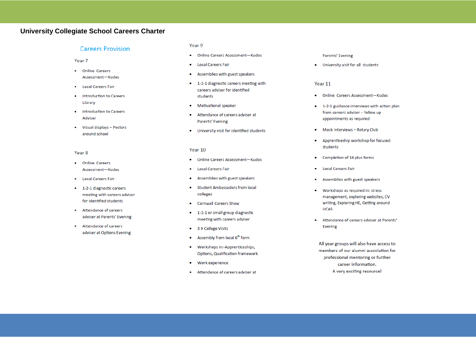### **University Collegiate School Careers Charter**

#### **Careers Provision**

- Year<sub>7</sub>
- Online Careers Assessment-Kudos
- **Local Careers Fair**  $\bullet$
- Introduction to Careers Library
- Introduction to Careers Adviser
- Visual displays Posters around school

#### Year<sub>8</sub>

- **Online Careers**  $\bullet$ Assessment-Kudos
- **Local Careers Fair**  $\bullet$
- 1-2-1 diagnostic careers meeting with careers adviser for identified students
- Attendance of careers adviser at Parents' Evening
- $\bullet$ Attendance of careers adviser at Options Evening

#### Year 9

- Online Careers Assessment-Kudos
- **Local Careers Fair**  $\bullet$
- Assemblies with guest speakers  $\bullet$
- 1-2-1 diagnostic careers meeting with careers adviser for identified students
- Motivational speaker  $\bullet$
- Attendance of careers adviser at  $\bullet$ Parents' Evening
- $\bullet$ University visit for identified students

#### Year 10

- Online Careers Assessment-Kudos  $\bullet$
- **Local Careers Fair**  $\bullet$
- Assemblies with guest speakers  $\bullet$
- Student Ambassadors from local  $\bullet$ colleges
- **Cornwall Careers Show**  $\bullet$
- 1-2-1 or small group diagnostic meeting with careers adviser
- 3 X College Visits
- Assembly from local 6<sup>th</sup> form  $\bullet$
- Workshops in:-Apprenticeships,  $\bullet$ Options, Qualification framework
- Work experience  $\bullet$
- Attendance of careers adviser at  $\bullet$

#### Parents' Evening

. University visit for all students

#### Year 11

- Online Careers Assessment-Kudos  $\bullet$
- 1-2-1 guidance interviews with action plan  $\bullet$ from careers adviser - follow up appointments as required
- Mock Interviews Rotary Club  $\bullet$
- Apprenticeship workshop for focused  $\bullet$ students
- Completion of 16 plus forms  $\bullet$
- $\bullet$ **Local Careers Fair**
- ٠ Assemblies with guest speakers
- Workshops as required in: stress  $\bullet$ management, exploring websites, CV writing, Exploring HE, Getting around **UCAS**
- Attendance of careers adviser at Parents' ۰ Evening

All year groups will also have access to members of our alumni association for professional mentoring or further career information. A very exciting resource!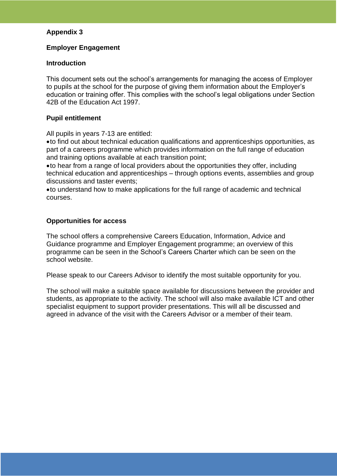# **Appendix 3**

# **Employer Engagement**

# **Introduction**

This document sets out the school's arrangements for managing the access of Employer to pupils at the school for the purpose of giving them information about the Employer's education or training offer. This complies with the school's legal obligations under Section 42B of the Education Act 1997.

# **Pupil entitlement**

All pupils in years 7-13 are entitled:

•to find out about technical education qualifications and apprenticeships opportunities, as part of a careers programme which provides information on the full range of education and training options available at each transition point;

•to hear from a range of local providers about the opportunities they offer, including technical education and apprenticeships – through options events, assemblies and group discussions and taster events;

•to understand how to make applications for the full range of academic and technical courses.

# **Opportunities for access**

The school offers a comprehensive Careers Education, Information, Advice and Guidance programme and Employer Engagement programme; an overview of this programme can be seen in the School's Careers Charter which can be seen on the school website.

Please speak to our Careers Advisor to identify the most suitable opportunity for you.

The school will make a suitable space available for discussions between the provider and students, as appropriate to the activity. The school will also make available ICT and other specialist equipment to support provider presentations. This will all be discussed and agreed in advance of the visit with the Careers Advisor or a member of their team.